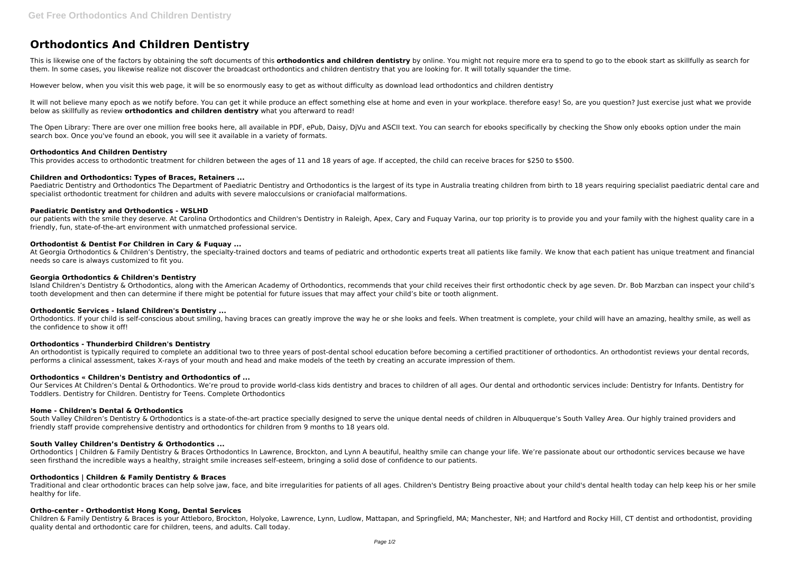# **Orthodontics And Children Dentistry**

This is likewise one of the factors by obtaining the soft documents of this **orthodontics and children dentistry** by online. You might not require more era to spend to go to the ebook start as skillfully as search for them. In some cases, you likewise realize not discover the broadcast orthodontics and children dentistry that you are looking for. It will totally squander the time.

It will not believe many epoch as we notify before. You can get it while produce an effect something else at home and even in your workplace. therefore easy! So, are you question? Just exercise just what we provide below as skillfully as review **orthodontics and children dentistry** what you afterward to read!

However below, when you visit this web page, it will be so enormously easy to get as without difficulty as download lead orthodontics and children dentistry

The Open Library: There are over one million free books here, all available in PDF, ePub, Daisy, DjVu and ASCII text. You can search for ebooks specifically by checking the Show only ebooks option under the main search box. Once you've found an ebook, you will see it available in a variety of formats.

Paediatric Dentistry and Orthodontics The Department of Paediatric Dentistry and Orthodontics is the largest of its type in Australia treating children from birth to 18 years requiring specialist paediatric dental care and specialist orthodontic treatment for children and adults with severe malocculsions or craniofacial malformations.

At Georgia Orthodontics & Children's Dentistry, the specialty-trained doctors and teams of pediatric and orthodontic experts treat all patients like family. We know that each patient has unique treatment and financial needs so care is always customized to fit you.

#### **Orthodontics And Children Dentistry**

This provides access to orthodontic treatment for children between the ages of 11 and 18 years of age. If accepted, the child can receive braces for \$250 to \$500.

Island Children's Dentistry & Orthodontics, along with the American Academy of Orthodontics, recommends that your child receives their first orthodontic check by age seven. Dr. Bob Marzban can inspect your child's tooth development and then can determine if there might be potential for future issues that may affect your child's bite or tooth alignment.

#### **Children and Orthodontics: Types of Braces, Retainers ...**

#### **Paediatric Dentistry and Orthodontics - WSLHD**

Our Services At Children's Dental & Orthodontics. We're proud to provide world-class kids dentistry and braces to children of all ages. Our dental and orthodontic services include: Dentistry for Infants. Dentistry for Toddlers. Dentistry for Children. Dentistry for Teens. Complete Orthodontics

our patients with the smile they deserve. At Carolina Orthodontics and Children's Dentistry in Raleigh, Apex, Cary and Fuquay Varina, our top priority is to provide you and your family with the highest quality care in a friendly, fun, state-of-the-art environment with unmatched professional service.

South Valley Children's Dentistry & Orthodontics is a state-of-the-art practice specially designed to serve the unique dental needs of children in Albuquerque's South Valley Area. Our highly trained providers and friendly staff provide comprehensive dentistry and orthodontics for children from 9 months to 18 years old.

#### **Orthodontist & Dentist For Children in Cary & Fuquay ...**

Orthodontics | Children & Family Dentistry & Braces Orthodontics In Lawrence, Brockton, and Lynn A beautiful, healthy smile can change your life. We're passionate about our orthodontic services because we have seen firsthand the incredible ways a healthy, straight smile increases self-esteem, bringing a solid dose of confidence to our patients.

#### **Georgia Orthodontics & Children's Dentistry**

#### **Orthodontic Services - Island Children's Dentistry ...**

Orthodontics. If your child is self-conscious about smiling, having braces can greatly improve the way he or she looks and feels. When treatment is complete, your child will have an amazing, healthy smile, as well as the confidence to show it off!

#### **Orthodontics - Thunderbird Children's Dentistry**

An orthodontist is typically required to complete an additional two to three years of post-dental school education before becoming a certified practitioner of orthodontics. An orthodontist reviews your dental records, performs a clinical assessment, takes X-rays of your mouth and head and make models of the teeth by creating an accurate impression of them.

#### **Orthodontics « Children's Dentistry and Orthodontics of ...**

#### **Home - Children's Dental & Orthodontics**

#### **South Valley Children's Dentistry & Orthodontics ...**

## **Orthodontics | Children & Family Dentistry & Braces**

Traditional and clear orthodontic braces can help solve jaw, face, and bite irregularities for patients of all ages. Children's Dentistry Being proactive about your child's dental health today can help keep his or her smile healthy for life.

#### **Ortho-center - Orthodontist Hong Kong, Dental Services**

Children & Family Dentistry & Braces is your Attleboro, Brockton, Holyoke, Lawrence, Lynn, Ludlow, Mattapan, and Springfield, MA; Manchester, NH; and Hartford and Rocky Hill, CT dentist and orthodontist, providing quality dental and orthodontic care for children, teens, and adults. Call today.